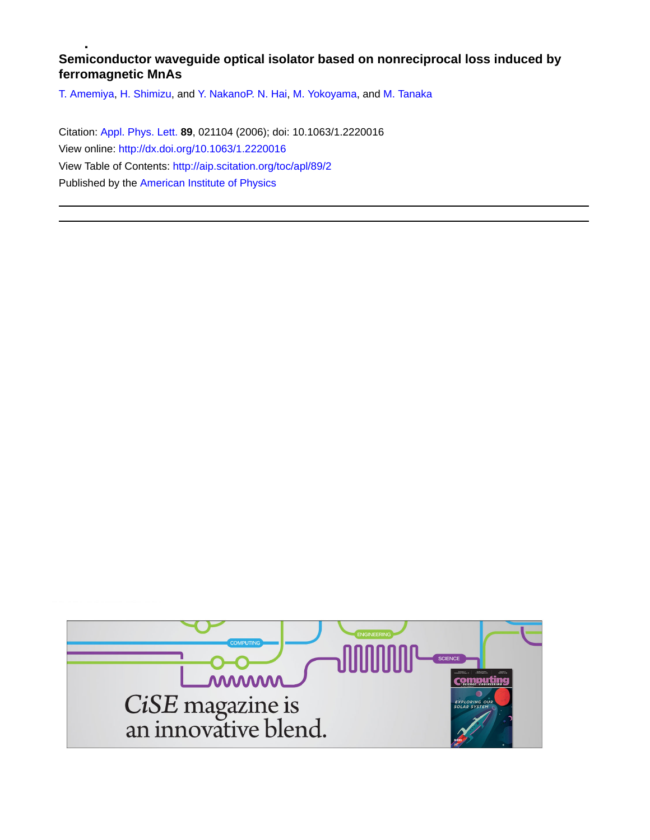## **Semiconductor waveguide optical isolator based on nonreciprocal loss induced by ferromagnetic MnAs**

[T. Amemiya,](http://aip.scitation.org/author/Amemiya%2C+T) [H. Shimizu](http://aip.scitation.org/author/Shimizu%2C+H), and [Y. Nakano](http://aip.scitation.org/author/Nakano%2C+Y)[P. N. Hai,](http://aip.scitation.org/author/Hai%2C+P+N) [M. Yokoyama](http://aip.scitation.org/author/Yokoyama%2C+M), and [M. Tanaka](http://aip.scitation.org/author/Tanaka%2C+M)

Citation: [Appl. Phys. Lett.](/loi/apl) **89**, 021104 (2006); doi: 10.1063/1.2220016 View online: <http://dx.doi.org/10.1063/1.2220016> View Table of Contents: <http://aip.scitation.org/toc/apl/89/2> Published by the [American Institute of Physics](http://aip.scitation.org/publisher/)

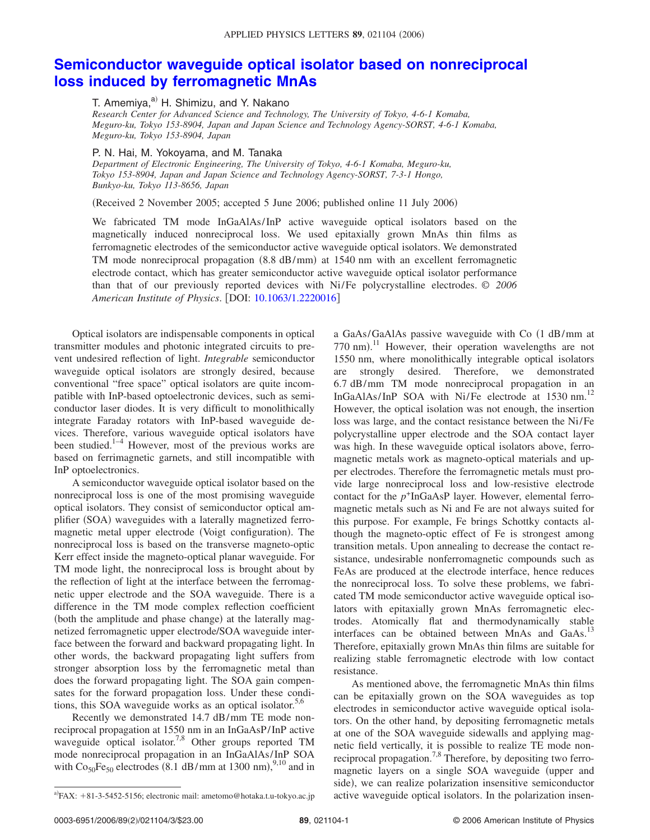## **[Semiconductor waveguide optical isolator based on nonreciprocal](http://dx.doi.org/10.1063/1.2220016) [loss induced by ferromagnetic MnAs](http://dx.doi.org/10.1063/1.2220016)**

T. Amemiya, $a^{(i)}$  H. Shimizu, and Y. Nakano

*Research Center for Advanced Science and Technology, The University of Tokyo, 4-6-1 Komaba, Meguro-ku, Tokyo 153-8904, Japan and Japan Science and Technology Agency-SORST, 4-6-1 Komaba, Meguro-ku, Tokyo 153-8904, Japan*

P. N. Hai, M. Yokoyama, and M. Tanaka

*Department of Electronic Engineering, The University of Tokyo, 4-6-1 Komaba, Meguro-ku, Tokyo 153-8904, Japan and Japan Science and Technology Agency-SORST, 7-3-1 Hongo, Bunkyo-ku, Tokyo 113-8656, Japan*

Received 2 November 2005; accepted 5 June 2006; published online 11 July 2006-

We fabricated TM mode InGaAlAs/InP active waveguide optical isolators based on the magnetically induced nonreciprocal loss. We used epitaxially grown MnAs thin films as ferromagnetic electrodes of the semiconductor active waveguide optical isolators. We demonstrated TM mode nonreciprocal propagation (8.8 dB/mm) at 1540 nm with an excellent ferromagnetic electrode contact, which has greater semiconductor active waveguide optical isolator performance than that of our previously reported devices with Ni/Fe polycrystalline electrodes. © *2006 American Institute of Physics*. DOI: [10.1063/1.2220016](http://dx.doi.org/10.1063/1.2220016)

Optical isolators are indispensable components in optical transmitter modules and photonic integrated circuits to prevent undesired reflection of light. *Integrable* semiconductor waveguide optical isolators are strongly desired, because conventional "free space" optical isolators are quite incompatible with InP-based optoelectronic devices, such as semiconductor laser diodes. It is very difficult to monolithically integrate Faraday rotators with InP-based waveguide devices. Therefore, various waveguide optical isolators have been studied. $1-4$  However, most of the previous works are based on ferrimagnetic garnets, and still incompatible with InP optoelectronics.

A semiconductor waveguide optical isolator based on the nonreciprocal loss is one of the most promising waveguide optical isolators. They consist of semiconductor optical amplifier (SOA) waveguides with a laterally magnetized ferromagnetic metal upper electrode (Voigt configuration). The nonreciprocal loss is based on the transverse magneto-optic Kerr effect inside the magneto-optical planar waveguide. For TM mode light, the nonreciprocal loss is brought about by the reflection of light at the interface between the ferromagnetic upper electrode and the SOA waveguide. There is a difference in the TM mode complex reflection coefficient (both the amplitude and phase change) at the laterally magnetized ferromagnetic upper electrode/SOA waveguide interface between the forward and backward propagating light. In other words, the backward propagating light suffers from stronger absorption loss by the ferromagnetic metal than does the forward propagating light. The SOA gain compensates for the forward propagation loss. Under these conditions, this SOA waveguide works as an optical isolator. $5,6$ 

Recently we demonstrated 14.7 dB/mm TE mode nonreciprocal propagation at 1550 nm in an InGaAsP/ InP active waveguide optical isolator.<sup>7,8</sup> Other groups reported TM mode nonreciprocal propagation in an InGaAlAs/ InP SOA with  $\text{Co}_{50}\text{Fe}_{50}$  electrodes (8.1 dB/mm at 1300 nm),<sup>9,10</sup> and in

FAX: 81-3-5452-5156; electronic mail: ametomo@hotaka.t.u-tokyo.ac.jp

a GaAs/GaAlAs passive waveguide with Co (1 dB/mm at 770 nm).<sup>11</sup> However, their operation wavelengths are not 1550 nm, where monolithically integrable optical isolators are strongly desired. Therefore, we demonstrated 6.7 dB/mm TM mode nonreciprocal propagation in an InGaAlAs/InP SOA with Ni/Fe electrode at  $1530$  nm.<sup>12</sup> However, the optical isolation was not enough, the insertion loss was large, and the contact resistance between the Ni/Fe polycrystalline upper electrode and the SOA contact layer was high. In these waveguide optical isolators above, ferromagnetic metals work as magneto-optical materials and upper electrodes. Therefore the ferromagnetic metals must provide large nonreciprocal loss and low-resistive electrode contact for the *p*+InGaAsP layer. However, elemental ferromagnetic metals such as Ni and Fe are not always suited for this purpose. For example, Fe brings Schottky contacts although the magneto-optic effect of Fe is strongest among transition metals. Upon annealing to decrease the contact resistance, undesirable nonferromagnetic compounds such as FeAs are produced at the electrode interface, hence reduces the nonreciprocal loss. To solve these problems, we fabricated TM mode semiconductor active waveguide optical isolators with epitaxially grown MnAs ferromagnetic electrodes. Atomically flat and thermodynamically stable interfaces can be obtained between MnAs and GaAs.<sup>13</sup> Therefore, epitaxially grown MnAs thin films are suitable for realizing stable ferromagnetic electrode with low contact resistance.

As mentioned above, the ferromagnetic MnAs thin films can be epitaxially grown on the SOA waveguides as top electrodes in semiconductor active waveguide optical isolators. On the other hand, by depositing ferromagnetic metals at one of the SOA waveguide sidewalls and applying magnetic field vertically, it is possible to realize TE mode nonreciprocal propagation.<sup>7,8</sup> Therefore, by depositing two ferromagnetic layers on a single SOA waveguide (upper and side), we can realize polarization insensitive semiconductor active waveguide optical isolators. In the polarization insen-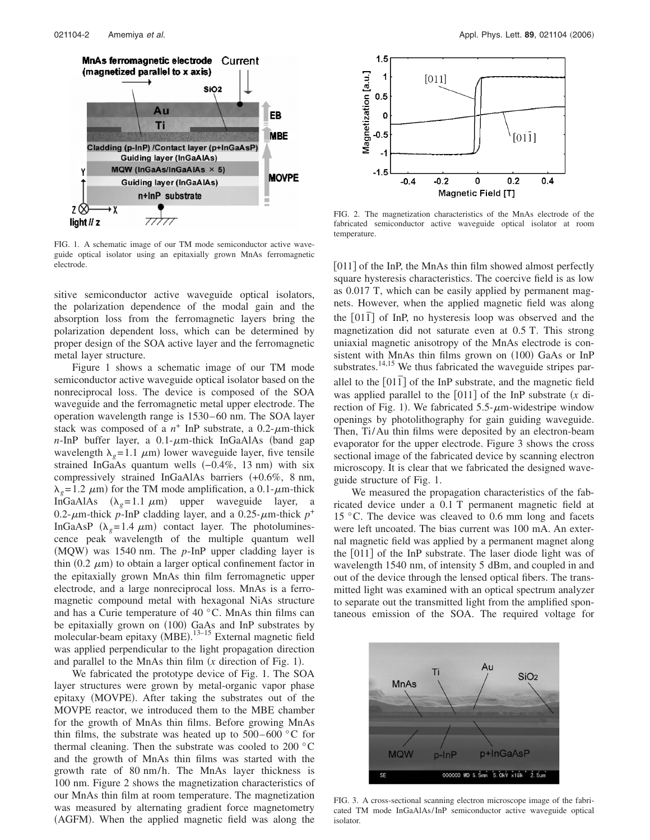

FIG. 1. A schematic image of our TM mode semiconductor active waveguide optical isolator using an epitaxially grown MnAs ferromagnetic electrode.

sitive semiconductor active waveguide optical isolators, the polarization dependence of the modal gain and the absorption loss from the ferromagnetic layers bring the polarization dependent loss, which can be determined by proper design of the SOA active layer and the ferromagnetic metal layer structure.

Figure 1 shows a schematic image of our TM mode semiconductor active waveguide optical isolator based on the nonreciprocal loss. The device is composed of the SOA waveguide and the ferromagnetic metal upper electrode. The operation wavelength range is 1530– 60 nm. The SOA layer stack was composed of a  $n^+$  InP substrate, a 0.2- $\mu$ m-thick  $n$ -InP buffer layer, a 0.1- $\mu$ m-thick InGaAlAs (band gap wavelength  $\lambda_g = 1.1 \mu m$ ) lower waveguide layer, five tensile strained InGaAs quantum wells  $(-0.4\%, 13 \text{ nm})$  with six compressively strained InGaAlAs barriers  $(+0.6\%, 8 \text{ nm},$  $\lambda_g$ =1.2  $\mu$ m) for the TM mode amplification, a 0.1- $\mu$ m-thick InGaAlAs  $(\lambda_g=1.1 \mu m)$  upper waveguide layer, a 0.2- $\mu$ m-thick p-InP cladding layer, and a 0.25- $\mu$ m-thick p<sup>+</sup> InGaAsP  $(\lambda_g=1.4 \mu m)$  contact layer. The photoluminescence peak wavelength of the multiple quantum well (MQW) was 1540 nm. The *p*-InP upper cladding layer is thin  $(0.2 \mu m)$  to obtain a larger optical confinement factor in the epitaxially grown MnAs thin film ferromagnetic upper electrode, and a large nonreciprocal loss. MnAs is a ferromagnetic compound metal with hexagonal NiAs structure and has a Curie temperature of 40 °C. MnAs thin films can be epitaxially grown on (100) GaAs and InP substrates by molecular-beam epitaxy (MBE).<sup>13-15</sup> External magnetic field was applied perpendicular to the light propagation direction and parallel to the MnAs thin film  $(x$  direction of Fig. 1).

We fabricated the prototype device of Fig. 1. The SOA layer structures were grown by metal-organic vapor phase epitaxy (MOVPE). After taking the substrates out of the MOVPE reactor, we introduced them to the MBE chamber for the growth of MnAs thin films. Before growing MnAs thin films, the substrate was heated up to  $500-600$  °C for thermal cleaning. Then the substrate was cooled to 200 °C and the growth of MnAs thin films was started with the growth rate of 80 nm/h. The MnAs layer thickness is 100 nm. Figure 2 shows the magnetization characteristics of our MnAs thin film at room temperature. The magnetization was measured by alternating gradient force magnetometry (AGFM). When the applied magnetic field was along the



FIG. 2. The magnetization characteristics of the MnAs electrode of the fabricated semiconductor active waveguide optical isolator at room temperature.

[011] of the InP, the MnAs thin film showed almost perfectly square hysteresis characteristics. The coercive field is as low as 0.017 T, which can be easily applied by permanent magnets. However, when the applied magnetic field was along the  $[01\bar{1}]$  of InP, no hysteresis loop was observed and the magnetization did not saturate even at 0.5 T. This strong uniaxial magnetic anisotropy of the MnAs electrode is consistent with MnAs thin films grown on (100) GaAs or InP substrates.<sup>14,15</sup> We thus fabricated the waveguide stripes parallel to the  $[01\bar{1}]$  of the InP substrate, and the magnetic field was applied parallel to the  $[011]$  of the InP substrate  $(x \text{ di}-1)$ rection of Fig. 1). We fabricated  $5.5$ - $\mu$ m-widestripe window openings by photolithography for gain guiding waveguide. Then, Ti/Au thin films were deposited by an electron-beam evaporator for the upper electrode. Figure 3 shows the cross sectional image of the fabricated device by scanning electron microscopy. It is clear that we fabricated the designed waveguide structure of Fig. 1.

We measured the propagation characteristics of the fabricated device under a 0.1 T permanent magnetic field at 15 °C. The device was cleaved to 0.6 mm long and facets were left uncoated. The bias current was 100 mA. An external magnetic field was applied by a permanent magnet along the  $[011]$  of the InP substrate. The laser diode light was of wavelength 1540 nm, of intensity 5 dBm, and coupled in and out of the device through the lensed optical fibers. The transmitted light was examined with an optical spectrum analyzer to separate out the transmitted light from the amplified spontaneous emission of the SOA. The required voltage for



FIG. 3. A cross-sectional scanning electron microscope image of the fabricated TM mode InGaAlAs/InP semiconductor active waveguide optical isolator.